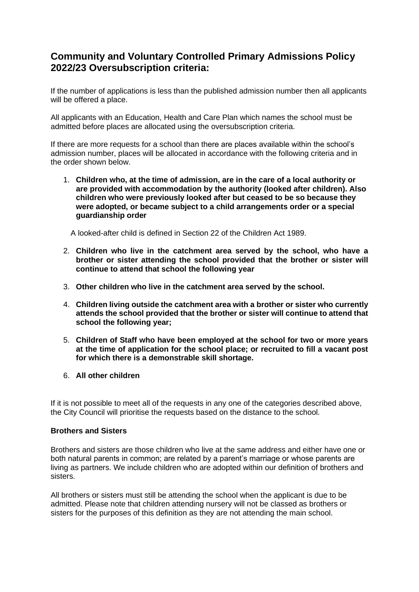# **Community and Voluntary Controlled Primary Admissions Policy 2022/23 Oversubscription criteria:**

If the number of applications is less than the published admission number then all applicants will be offered a place.

All applicants with an Education, Health and Care Plan which names the school must be admitted before places are allocated using the oversubscription criteria.

If there are more requests for a school than there are places available within the school's admission number, places will be allocated in accordance with the following criteria and in the order shown below.

1. **Children who, at the time of admission, are in the care of a local authority or are provided with accommodation by the authority (looked after children). Also children who were previously looked after but ceased to be so because they were adopted, or became subject to a child arrangements order or a special guardianship order**

A looked-after child is defined in Section 22 of the Children Act 1989.

- 2. **Children who live in the catchment area served by the school, who have a brother or sister attending the school provided that the brother or sister will continue to attend that school the following year**
- 3. **Other children who live in the catchment area served by the school.**
- 4. **Children living outside the catchment area with a brother or sister who currently attends the school provided that the brother or sister will continue to attend that school the following year;**
- 5. **Children of Staff who have been employed at the school for two or more years at the time of application for the school place; or recruited to fill a vacant post for which there is a demonstrable skill shortage.**
- 6. **All other children**

If it is not possible to meet all of the requests in any one of the categories described above, the City Council will prioritise the requests based on the distance to the school.

## **Brothers and Sisters**

Brothers and sisters are those children who live at the same address and either have one or both natural parents in common; are related by a parent's marriage or whose parents are living as partners. We include children who are adopted within our definition of brothers and sisters.

All brothers or sisters must still be attending the school when the applicant is due to be admitted. Please note that children attending nursery will not be classed as brothers or sisters for the purposes of this definition as they are not attending the main school.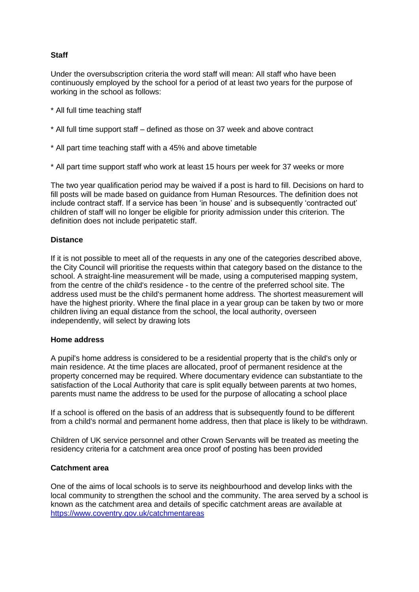# **Staff**

Under the oversubscription criteria the word staff will mean: All staff who have been continuously employed by the school for a period of at least two years for the purpose of working in the school as follows:

- \* All full time teaching staff
- \* All full time support staff defined as those on 37 week and above contract
- \* All part time teaching staff with a 45% and above timetable
- \* All part time support staff who work at least 15 hours per week for 37 weeks or more

The two year qualification period may be waived if a post is hard to fill. Decisions on hard to fill posts will be made based on guidance from Human Resources. The definition does not include contract staff. If a service has been 'in house' and is subsequently 'contracted out' children of staff will no longer be eligible for priority admission under this criterion. The definition does not include peripatetic staff.

## **Distance**

If it is not possible to meet all of the requests in any one of the categories described above, the City Council will prioritise the requests within that category based on the distance to the school. A straight-line measurement will be made, using a computerised mapping system, from the centre of the child's residence - to the centre of the preferred school site. The address used must be the child's permanent home address. The shortest measurement will have the highest priority. Where the final place in a year group can be taken by two or more children living an equal distance from the school, the local authority, overseen independently, will select by drawing lots

#### **Home address**

A pupil's home address is considered to be a residential property that is the child's only or main residence. At the time places are allocated, proof of permanent residence at the property concerned may be required. Where documentary evidence can substantiate to the satisfaction of the Local Authority that care is split equally between parents at two homes, parents must name the address to be used for the purpose of allocating a school place

If a school is offered on the basis of an address that is subsequently found to be different from a child's normal and permanent home address, then that place is likely to be withdrawn.

Children of UK service personnel and other Crown Servants will be treated as meeting the residency criteria for a catchment area once proof of posting has been provided

## **Catchment area**

One of the aims of local schools is to serve its neighbourhood and develop links with the local community to strengthen the school and the community. The area served by a school is known as the catchment area and details of specific catchment areas are available at <https://www.coventry.gov.uk/catchmentareas>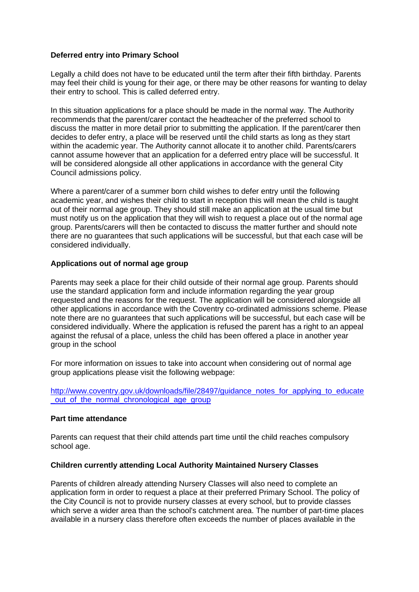### **Deferred entry into Primary School**

Legally a child does not have to be educated until the term after their fifth birthday. Parents may feel their child is young for their age, or there may be other reasons for wanting to delay their entry to school. This is called deferred entry.

In this situation applications for a place should be made in the normal way. The Authority recommends that the parent/carer contact the headteacher of the preferred school to discuss the matter in more detail prior to submitting the application. If the parent/carer then decides to defer entry, a place will be reserved until the child starts as long as they start within the academic year. The Authority cannot allocate it to another child. Parents/carers cannot assume however that an application for a deferred entry place will be successful. It will be considered alongside all other applications in accordance with the general City Council admissions policy.

Where a parent/carer of a summer born child wishes to defer entry until the following academic year, and wishes their child to start in reception this will mean the child is taught out of their normal age group. They should still make an application at the usual time but must notify us on the application that they will wish to request a place out of the normal age group. Parents/carers will then be contacted to discuss the matter further and should note there are no guarantees that such applications will be successful, but that each case will be considered individually.

#### **Applications out of normal age group**

Parents may seek a place for their child outside of their normal age group. Parents should use the standard application form and include information regarding the year group requested and the reasons for the request. The application will be considered alongside all other applications in accordance with the Coventry co-ordinated admissions scheme. Please note there are no guarantees that such applications will be successful, but each case will be considered individually. Where the application is refused the parent has a right to an appeal against the refusal of a place, unless the child has been offered a place in another year group in the school

For more information on issues to take into account when considering out of normal age group applications please visit the following webpage:

[http://www.coventry.gov.uk/downloads/file/28497/guidance\\_notes\\_for\\_applying\\_to\\_educate](http://www.coventry.gov.uk/downloads/file/28497/guidance_notes_for_applying_to_educate_out_of_the_normal_chronological_age_group) out of the normal chronological age group

#### **Part time attendance**

Parents can request that their child attends part time until the child reaches compulsory school age.

## **Children currently attending Local Authority Maintained Nursery Classes**

Parents of children already attending Nursery Classes will also need to complete an application form in order to request a place at their preferred Primary School. The policy of the City Council is not to provide nursery classes at every school, but to provide classes which serve a wider area than the school's catchment area. The number of part-time places available in a nursery class therefore often exceeds the number of places available in the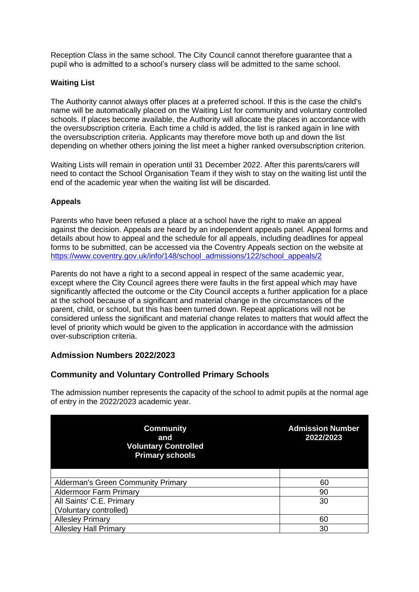Reception Class in the same school. The City Council cannot therefore guarantee that a pupil who is admitted to a school's nursery class will be admitted to the same school.

# **Waiting List**

The Authority cannot always offer places at a preferred school. If this is the case the child's name will be automatically placed on the Waiting List for community and voluntary controlled schools. If places become available, the Authority will allocate the places in accordance with the oversubscription criteria. Each time a child is added, the list is ranked again in line with the oversubscription criteria. Applicants may therefore move both up and down the list depending on whether others joining the list meet a higher ranked oversubscription criterion.

Waiting Lists will remain in operation until 31 December 2022. After this parents/carers will need to contact the School Organisation Team if they wish to stay on the waiting list until the end of the academic year when the waiting list will be discarded.

# **Appeals**

Parents who have been refused a place at a school have the right to make an appeal against the decision. Appeals are heard by an independent appeals panel. Appeal forms and details about how to appeal and the schedule for all appeals, including deadlines for appeal forms to be submitted, can be accessed via the Coventry Appeals section on the website at [https://www.coventry.gov.uk/info/148/school\\_admissions/122/school\\_appeals/2](https://www.coventry.gov.uk/info/148/school_admissions/122/school_appeals/2)

Parents do not have a right to a second appeal in respect of the same academic year. except where the City Council agrees there were faults in the first appeal which may have significantly affected the outcome or the City Council accepts a further application for a place at the school because of a significant and material change in the circumstances of the parent, child, or school, but this has been turned down. Repeat applications will not be considered unless the significant and material change relates to matters that would affect the level of priority which would be given to the application in accordance with the admission over-subscription criteria.

# **Admission Numbers 2022/2023**

# **Community and Voluntary Controlled Primary Schools**

The admission number represents the capacity of the school to admit pupils at the normal age of entry in the 2022/2023 academic year.

| <b>Community</b><br>and<br><b>Voluntary Controlled</b><br><b>Primary schools</b> | 2022/2023 |
|----------------------------------------------------------------------------------|-----------|
|                                                                                  |           |
| Alderman's Green Community Primary                                               | 60        |
| <b>Aldermoor Farm Primary</b>                                                    | 90        |
| All Saints' C.E. Primary                                                         | 30        |
| (Voluntary controlled)                                                           |           |
| <b>Allesley Primary</b>                                                          | 60        |
| <b>Allesley Hall Primary</b>                                                     | 30        |